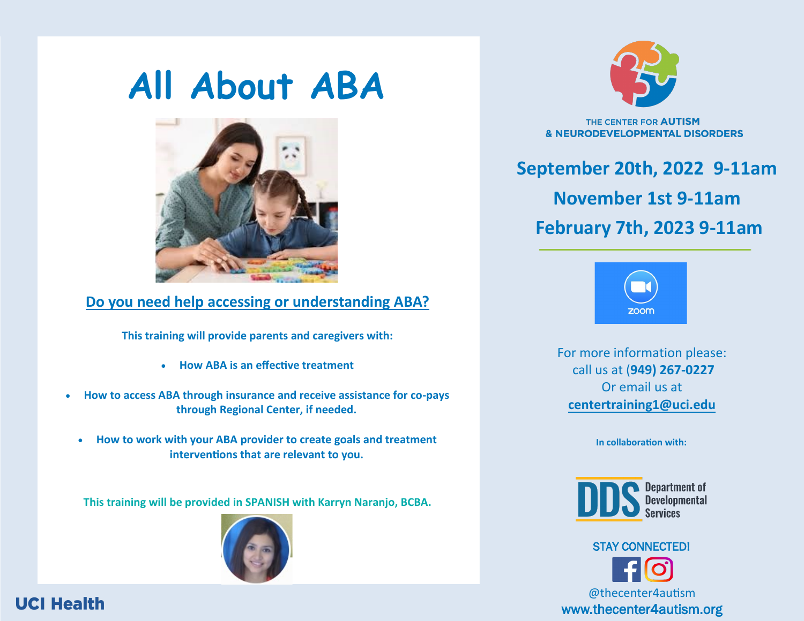# **All About ABA**



#### **Do you need help accessing or understanding ABA?**

**This training will provide parents and caregivers with:** 

- **How ABA is an effective treatment**
- **How to access ABA through insurance and receive assistance for co-pays through Regional Center, if needed.** 
	- **How to work with your ABA provider to create goals and treatment interventions that are relevant to you.**

**This training will be provided in SPANISH with Karryn Naranjo, BCBA.**







THE CENTER FOR AUTISM **& NEURODEVELOPMENTAL DISORDERS** 

**September 20th, 2022 9-11am November 1st 9-11am February 7th, 2023 9-11am**



For more informati[on plea](https://forms.office.com/Pages/ResponsePage.aspx?id=dGqfIFMJpE2HKkcxkbtXXcm8LQbLR1JCsMxn-mqV4VxUMllEMjRERkxCS0kySk5OVUVCWTEyMEhXNiQlQCN0PWcu)se: call us at (**949) 267-0227** Or email us at **center[training1@uci.edu](mailto:centertraining1@uci.edu)**

**In collaboration with:**



@thecenter4autism

www.thecenter4autism.org

STAY CONNECTED!